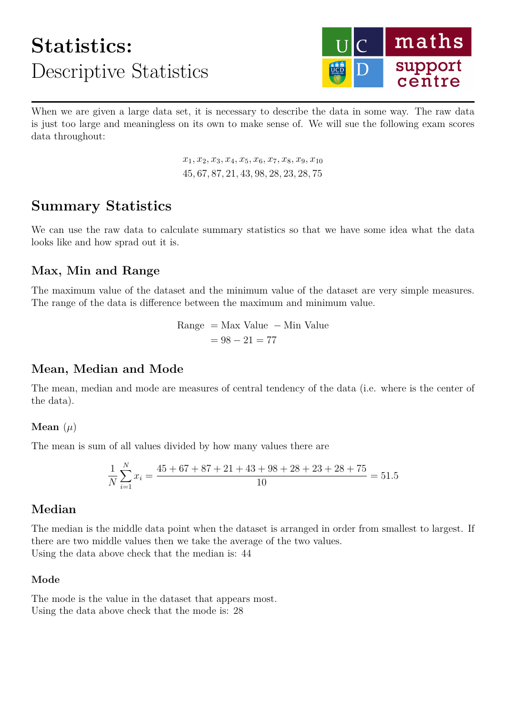# **Statistics:** Descriptive Statistics



When we are given a large data set, it is necessary to describe the data in some way. The raw data is just too large and meaningless on its own to make sense of. We will sue the following exam scores data throughout:

> $x_1, x_2, x_3, x_4, x_5, x_6, x_7, x_8, x_9, x_{10}$ 45*,* 67*,* 87*,* 21*,* 43*,* 98*,* 28*,* 23*,* 28*,* 75

# **Summary Statistics**

We can use the raw data to calculate summary statistics so that we have some idea what the data looks like and how sprad out it is.

# **Max, Min and Range**

The maximum value of the dataset and the minimum value of the dataset are very simple measures. The range of the data is difference between the maximum and minimum value.

Range = Max Value - Min Value  
= 
$$
98 - 21 = 77
$$

# **Mean, Median and Mode**

The mean, median and mode are measures of central tendency of the data (i.e. where is the center of the data).

#### **Mean**  $(\mu)$

The mean is sum of all values divided by how many values there are

$$
\frac{1}{N}\sum_{i=1}^{N}x_i = \frac{45+67+87+21+43+98+28+23+28+75}{10} = 51.5
$$

#### **Median**

The median is the middle data point when the dataset is arranged in order from smallest to largest. If there are two middle values then we take the average of the two values. Using the data above check that the median is: 44

#### **Mode**

The mode is the value in the dataset that appears most. Using the data above check that the mode is: 28